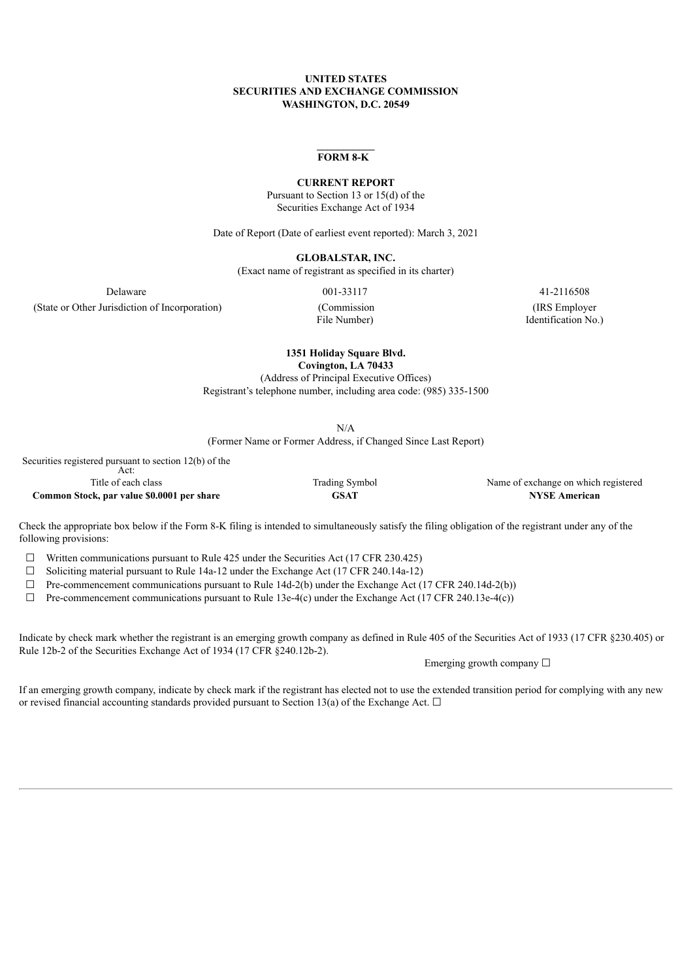## **UNITED STATES SECURITIES AND EXCHANGE COMMISSION WASHINGTON, D.C. 20549**

## **FORM 8-K**

#### **CURRENT REPORT**

Pursuant to Section 13 or 15(d) of the Securities Exchange Act of 1934

Date of Report (Date of earliest event reported): March 3, 2021

**GLOBALSTAR, INC.**

(Exact name of registrant as specified in its charter)

(State or Other Jurisdiction of Incorporation) (Commission

File Number)

Delaware 001-33117 41-2116508 (IRS Employer Identification No.)

> **1351 Holiday Square Blvd. Covington, LA 70433**

(Address of Principal Executive Offices) Registrant's telephone number, including area code: (985) 335-1500

N/A (Former Name or Former Address, if Changed Since Last Report)

Securities registered pursuant to section 12(b) of the Act:

**Common Stock, par value \$0.0001 per share GSAT NYSE American**

Title of each class Trading Symbol Name of exchange on which registered

Check the appropriate box below if the Form 8-K filing is intended to simultaneously satisfy the filing obligation of the registrant under any of the following provisions:

 $\Box$  Written communications pursuant to Rule 425 under the Securities Act (17 CFR 230.425)

 $\Box$  Soliciting material pursuant to Rule 14a-12 under the Exchange Act (17 CFR 240.14a-12)

 $\Box$  Pre-commencement communications pursuant to Rule 14d-2(b) under the Exchange Act (17 CFR 240.14d-2(b))

 $\Box$  Pre-commencement communications pursuant to Rule 13e-4(c) under the Exchange Act (17 CFR 240.13e-4(c))

Indicate by check mark whether the registrant is an emerging growth company as defined in Rule 405 of the Securities Act of 1933 (17 CFR §230.405) or Rule 12b-2 of the Securities Exchange Act of 1934 (17 CFR §240.12b-2).

Emerging growth company ☐

If an emerging growth company, indicate by check mark if the registrant has elected not to use the extended transition period for complying with any new or revised financial accounting standards provided pursuant to Section 13(a) of the Exchange Act.  $\Box$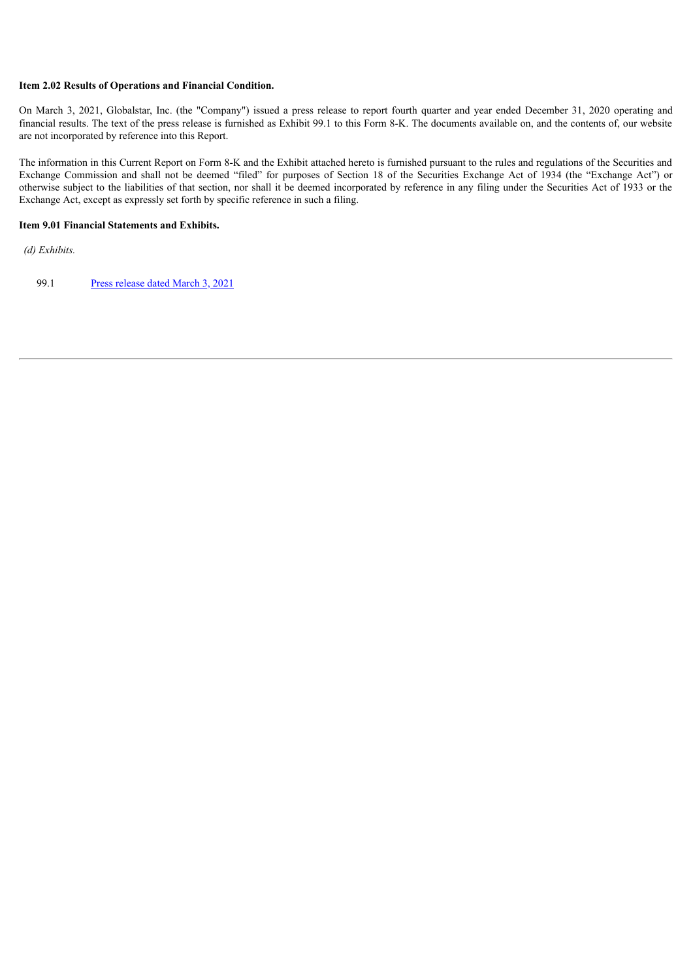# **Item 2.02 Results of Operations and Financial Condition.**

On March 3, 2021, Globalstar, Inc. (the "Company") issued a press release to report fourth quarter and year ended December 31, 2020 operating and financial results. The text of the press release is furnished as Exhibit 99.1 to this Form 8-K. The documents available on, and the contents of, our website are not incorporated by reference into this Report.

The information in this Current Report on Form 8-K and the Exhibit attached hereto is furnished pursuant to the rules and regulations of the Securities and Exchange Commission and shall not be deemed "filed" for purposes of Section 18 of the Securities Exchange Act of 1934 (the "Exchange Act") or otherwise subject to the liabilities of that section, nor shall it be deemed incorporated by reference in any filing under the Securities Act of 1933 or the Exchange Act, except as expressly set forth by specific reference in such a filing.

#### **Item 9.01 Financial Statements and Exhibits.**

*(d) Exhibits.*

99.1 Press [release](#page-3-0) dated March 3, 2021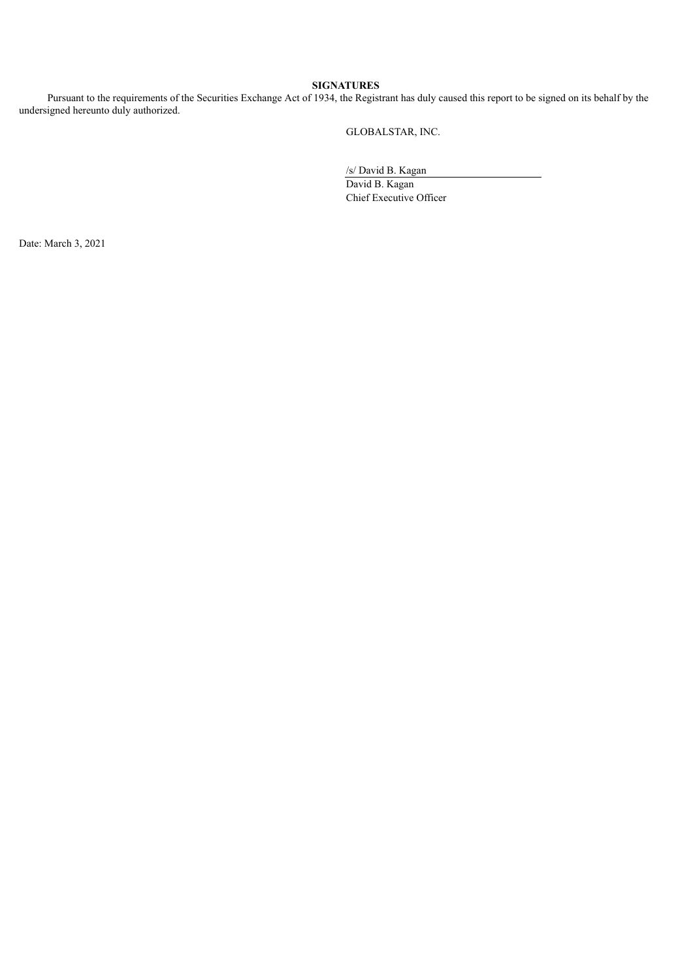# **SIGNATURES**

Pursuant to the requirements of the Securities Exchange Act of 1934, the Registrant has duly caused this report to be signed on its behalf by the undersigned hereunto duly authorized.

GLOBALSTAR, INC.

/s/ David B. Kagan

David B. Kagan Chief Executive Officer

Date: March 3, 2021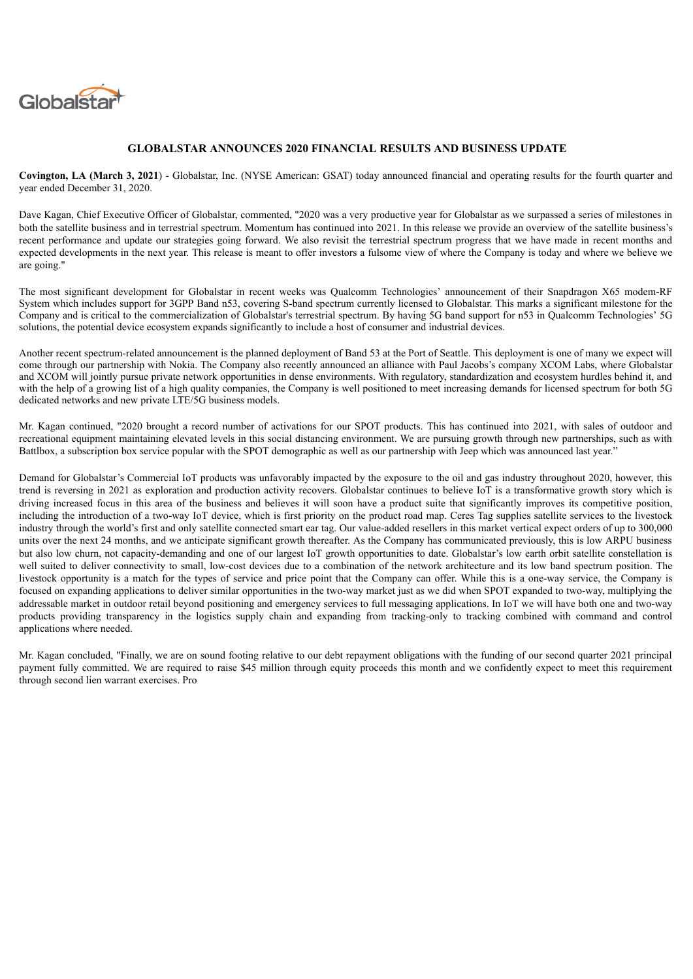<span id="page-3-0"></span>

# **GLOBALSTAR ANNOUNCES 2020 FINANCIAL RESULTS AND BUSINESS UPDATE**

**Covington, LA (March 3, 2021**) - Globalstar, Inc. (NYSE American: GSAT) today announced financial and operating results for the fourth quarter and year ended December 31, 2020.

Dave Kagan, Chief Executive Officer of Globalstar, commented, "2020 was a very productive year for Globalstar as we surpassed a series of milestones in both the satellite business and in terrestrial spectrum. Momentum has continued into 2021. In this release we provide an overview of the satellite business's recent performance and update our strategies going forward. We also revisit the terrestrial spectrum progress that we have made in recent months and expected developments in the next year. This release is meant to offer investors a fulsome view of where the Company is today and where we believe we are going."

The most significant development for Globalstar in recent weeks was Qualcomm Technologies' announcement of their Snapdragon X65 modem-RF System which includes support for 3GPP Band n53, covering S-band spectrum currently licensed to Globalstar. This marks a significant milestone for the Company and is critical to the commercialization of Globalstar's terrestrial spectrum. By having 5G band support for n53 in Qualcomm Technologies' 5G solutions, the potential device ecosystem expands significantly to include a host of consumer and industrial devices.

Another recent spectrum-related announcement is the planned deployment of Band 53 at the Port of Seattle. This deployment is one of many we expect will come through our partnership with Nokia. The Company also recently announced an alliance with Paul Jacobs's company XCOM Labs, where Globalstar and XCOM will jointly pursue private network opportunities in dense environments. With regulatory, standardization and ecosystem hurdles behind it, and with the help of a growing list of a high quality companies, the Company is well positioned to meet increasing demands for licensed spectrum for both 5G dedicated networks and new private LTE/5G business models.

Mr. Kagan continued, "2020 brought a record number of activations for our SPOT products. This has continued into 2021, with sales of outdoor and recreational equipment maintaining elevated levels in this social distancing environment. We are pursuing growth through new partnerships, such as with Battlbox, a subscription box service popular with the SPOT demographic as well as our partnership with Jeep which was announced last year."

Demand for Globalstar's Commercial IoT products was unfavorably impacted by the exposure to the oil and gas industry throughout 2020, however, this trend is reversing in 2021 as exploration and production activity recovers. Globalstar continues to believe IoT is a transformative growth story which is driving increased focus in this area of the business and believes it will soon have a product suite that significantly improves its competitive position, including the introduction of a two-way IoT device, which is first priority on the product road map. Ceres Tag supplies satellite services to the livestock industry through the world's first and only satellite connected smart ear tag. Our value-added resellers in this market vertical expect orders of up to 300,000 units over the next 24 months, and we anticipate significant growth thereafter. As the Company has communicated previously, this is low ARPU business but also low churn, not capacity-demanding and one of our largest IoT growth opportunities to date. Globalstar's low earth orbit satellite constellation is well suited to deliver connectivity to small, low-cost devices due to a combination of the network architecture and its low band spectrum position. The livestock opportunity is a match for the types of service and price point that the Company can offer. While this is a one-way service, the Company is focused on expanding applications to deliver similar opportunities in the two-way market just as we did when SPOT expanded to two-way, multiplying the addressable market in outdoor retail beyond positioning and emergency services to full messaging applications. In IoT we will have both one and two-way products providing transparency in the logistics supply chain and expanding from tracking-only to tracking combined with command and control applications where needed.

Mr. Kagan concluded, "Finally, we are on sound footing relative to our debt repayment obligations with the funding of our second quarter 2021 principal payment fully committed. We are required to raise \$45 million through equity proceeds this month and we confidently expect to meet this requirement through second lien warrant exercises. Pro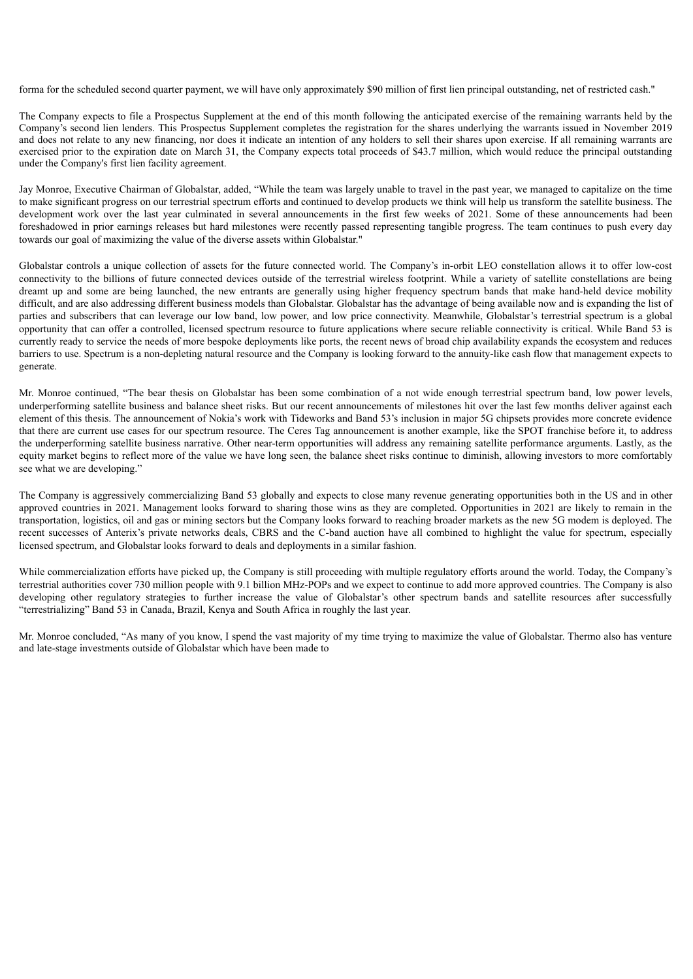forma for the scheduled second quarter payment, we will have only approximately \$90 million of first lien principal outstanding, net of restricted cash."

The Company expects to file a Prospectus Supplement at the end of this month following the anticipated exercise of the remaining warrants held by the Company's second lien lenders. This Prospectus Supplement completes the registration for the shares underlying the warrants issued in November 2019 and does not relate to any new financing, nor does it indicate an intention of any holders to sell their shares upon exercise. If all remaining warrants are exercised prior to the expiration date on March 31, the Company expects total proceeds of \$43.7 million, which would reduce the principal outstanding under the Company's first lien facility agreement.

Jay Monroe, Executive Chairman of Globalstar, added, "While the team was largely unable to travel in the past year, we managed to capitalize on the time to make significant progress on our terrestrial spectrum efforts and continued to develop products we think will help us transform the satellite business. The development work over the last year culminated in several announcements in the first few weeks of 2021. Some of these announcements had been foreshadowed in prior earnings releases but hard milestones were recently passed representing tangible progress. The team continues to push every day towards our goal of maximizing the value of the diverse assets within Globalstar."

Globalstar controls a unique collection of assets for the future connected world. The Company's in-orbit LEO constellation allows it to offer low-cost connectivity to the billions of future connected devices outside of the terrestrial wireless footprint. While a variety of satellite constellations are being dreamt up and some are being launched, the new entrants are generally using higher frequency spectrum bands that make hand-held device mobility difficult, and are also addressing different business models than Globalstar. Globalstar has the advantage of being available now and is expanding the list of parties and subscribers that can leverage our low band, low power, and low price connectivity. Meanwhile, Globalstar's terrestrial spectrum is a global opportunity that can offer a controlled, licensed spectrum resource to future applications where secure reliable connectivity is critical. While Band 53 is currently ready to service the needs of more bespoke deployments like ports, the recent news of broad chip availability expands the ecosystem and reduces barriers to use. Spectrum is a non-depleting natural resource and the Company is looking forward to the annuity-like cash flow that management expects to generate.

Mr. Monroe continued, "The bear thesis on Globalstar has been some combination of a not wide enough terrestrial spectrum band, low power levels, underperforming satellite business and balance sheet risks. But our recent announcements of milestones hit over the last few months deliver against each element of this thesis. The announcement of Nokia's work with Tideworks and Band 53's inclusion in major 5G chipsets provides more concrete evidence that there are current use cases for our spectrum resource. The Ceres Tag announcement is another example, like the SPOT franchise before it, to address the underperforming satellite business narrative. Other near-term opportunities will address any remaining satellite performance arguments. Lastly, as the equity market begins to reflect more of the value we have long seen, the balance sheet risks continue to diminish, allowing investors to more comfortably see what we are developing."

The Company is aggressively commercializing Band 53 globally and expects to close many revenue generating opportunities both in the US and in other approved countries in 2021. Management looks forward to sharing those wins as they are completed. Opportunities in 2021 are likely to remain in the transportation, logistics, oil and gas or mining sectors but the Company looks forward to reaching broader markets as the new 5G modem is deployed. The recent successes of Anterix's private networks deals, CBRS and the C-band auction have all combined to highlight the value for spectrum, especially licensed spectrum, and Globalstar looks forward to deals and deployments in a similar fashion.

While commercialization efforts have picked up, the Company is still proceeding with multiple regulatory efforts around the world. Today, the Company's terrestrial authorities cover 730 million people with 9.1 billion MHz-POPs and we expect to continue to add more approved countries. The Company is also developing other regulatory strategies to further increase the value of Globalstar's other spectrum bands and satellite resources after successfully "terrestrializing" Band 53 in Canada, Brazil, Kenya and South Africa in roughly the last year.

Mr. Monroe concluded, "As many of you know, I spend the vast majority of my time trying to maximize the value of Globalstar. Thermo also has venture and late-stage investments outside of Globalstar which have been made to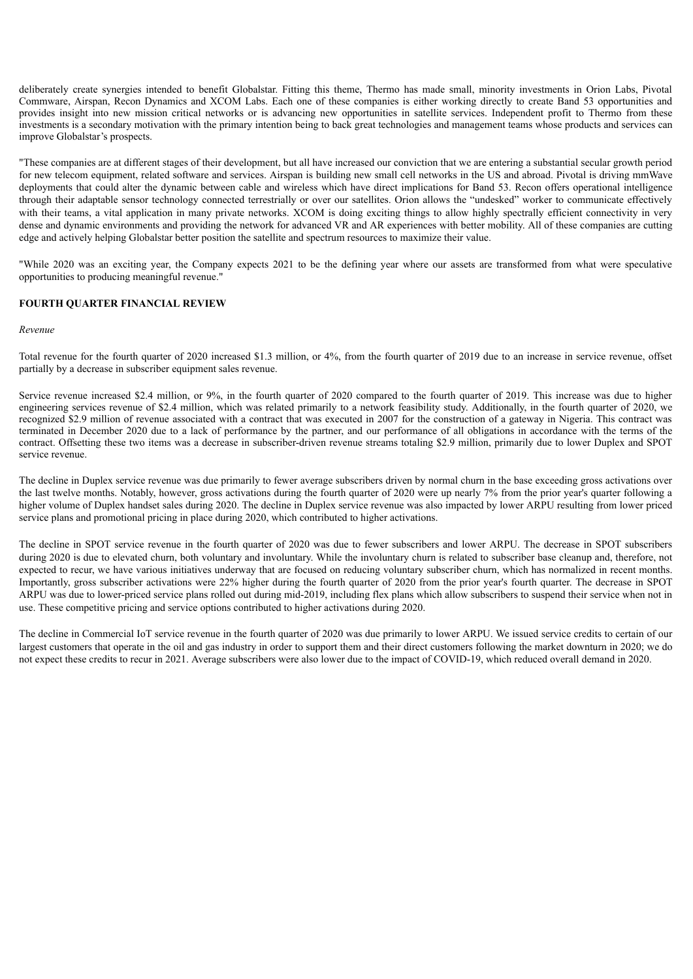deliberately create synergies intended to benefit Globalstar. Fitting this theme, Thermo has made small, minority investments in Orion Labs, Pivotal Commware, Airspan, Recon Dynamics and XCOM Labs. Each one of these companies is either working directly to create Band 53 opportunities and provides insight into new mission critical networks or is advancing new opportunities in satellite services. Independent profit to Thermo from these investments is a secondary motivation with the primary intention being to back great technologies and management teams whose products and services can improve Globalstar's prospects.

"These companies are at different stages of their development, but all have increased our conviction that we are entering a substantial secular growth period for new telecom equipment, related software and services. Airspan is building new small cell networks in the US and abroad. Pivotal is driving mmWave deployments that could alter the dynamic between cable and wireless which have direct implications for Band 53. Recon offers operational intelligence through their adaptable sensor technology connected terrestrially or over our satellites. Orion allows the "undesked" worker to communicate effectively with their teams, a vital application in many private networks. XCOM is doing exciting things to allow highly spectrally efficient connectivity in very dense and dynamic environments and providing the network for advanced VR and AR experiences with better mobility. All of these companies are cutting edge and actively helping Globalstar better position the satellite and spectrum resources to maximize their value.

"While 2020 was an exciting year, the Company expects 2021 to be the defining year where our assets are transformed from what were speculative opportunities to producing meaningful revenue."

# **FOURTH QUARTER FINANCIAL REVIEW**

#### *Revenue*

Total revenue for the fourth quarter of 2020 increased \$1.3 million, or 4%, from the fourth quarter of 2019 due to an increase in service revenue, offset partially by a decrease in subscriber equipment sales revenue.

Service revenue increased \$2.4 million, or 9%, in the fourth quarter of 2020 compared to the fourth quarter of 2019. This increase was due to higher engineering services revenue of \$2.4 million, which was related primarily to a network feasibility study. Additionally, in the fourth quarter of 2020, we recognized \$2.9 million of revenue associated with a contract that was executed in 2007 for the construction of a gateway in Nigeria. This contract was terminated in December 2020 due to a lack of performance by the partner, and our performance of all obligations in accordance with the terms of the contract. Offsetting these two items was a decrease in subscriber-driven revenue streams totaling \$2.9 million, primarily due to lower Duplex and SPOT service revenue.

The decline in Duplex service revenue was due primarily to fewer average subscribers driven by normal churn in the base exceeding gross activations over the last twelve months. Notably, however, gross activations during the fourth quarter of 2020 were up nearly 7% from the prior year's quarter following a higher volume of Duplex handset sales during 2020. The decline in Duplex service revenue was also impacted by lower ARPU resulting from lower priced service plans and promotional pricing in place during 2020, which contributed to higher activations.

The decline in SPOT service revenue in the fourth quarter of 2020 was due to fewer subscribers and lower ARPU. The decrease in SPOT subscribers during 2020 is due to elevated churn, both voluntary and involuntary. While the involuntary churn is related to subscriber base cleanup and, therefore, not expected to recur, we have various initiatives underway that are focused on reducing voluntary subscriber churn, which has normalized in recent months. Importantly, gross subscriber activations were 22% higher during the fourth quarter of 2020 from the prior year's fourth quarter. The decrease in SPOT ARPU was due to lower-priced service plans rolled out during mid-2019, including flex plans which allow subscribers to suspend their service when not in use. These competitive pricing and service options contributed to higher activations during 2020.

The decline in Commercial IoT service revenue in the fourth quarter of 2020 was due primarily to lower ARPU. We issued service credits to certain of our largest customers that operate in the oil and gas industry in order to support them and their direct customers following the market downturn in 2020; we do not expect these credits to recur in 2021. Average subscribers were also lower due to the impact of COVID-19, which reduced overall demand in 2020.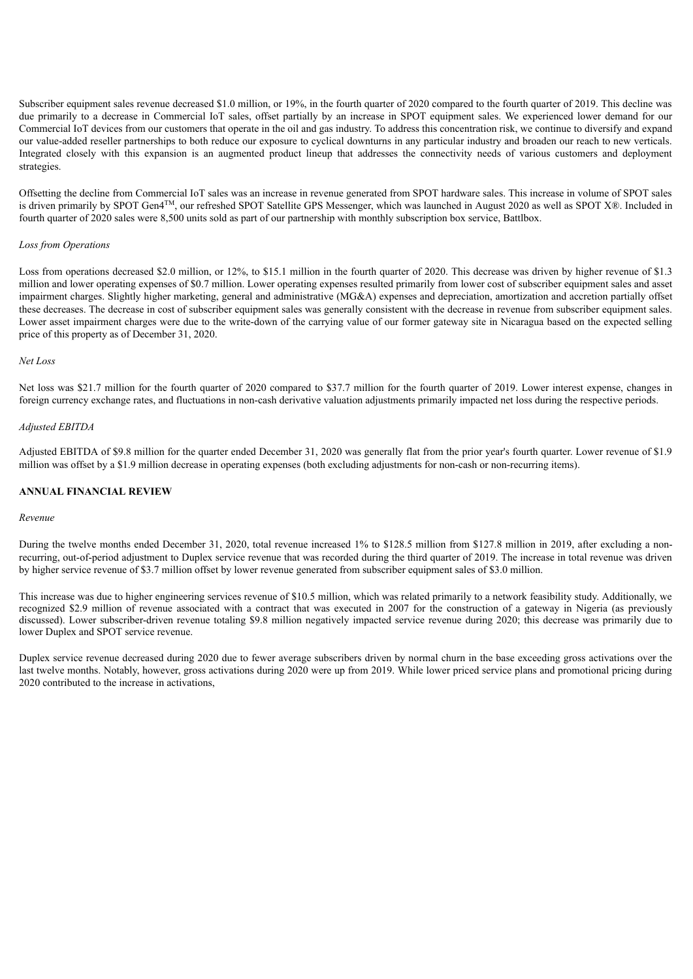Subscriber equipment sales revenue decreased \$1.0 million, or 19%, in the fourth quarter of 2020 compared to the fourth quarter of 2019. This decline was due primarily to a decrease in Commercial IoT sales, offset partially by an increase in SPOT equipment sales. We experienced lower demand for our Commercial IoT devices from our customers that operate in the oil and gas industry. To address this concentration risk, we continue to diversify and expand our value-added reseller partnerships to both reduce our exposure to cyclical downturns in any particular industry and broaden our reach to new verticals. Integrated closely with this expansion is an augmented product lineup that addresses the connectivity needs of various customers and deployment strategies.

Offsetting the decline from Commercial IoT sales was an increase in revenue generated from SPOT hardware sales. This increase in volume of SPOT sales is driven primarily by SPOT Gen4™, our refreshed SPOT Satellite GPS Messenger, which was launched in August 2020 as well as SPOT X®. Included in fourth quarter of 2020 sales were 8,500 units sold as part of our partnership with monthly subscription box service, Battlbox.

# *Loss from Operations*

Loss from operations decreased \$2.0 million, or 12%, to \$15.1 million in the fourth quarter of 2020. This decrease was driven by higher revenue of \$1.3 million and lower operating expenses of \$0.7 million. Lower operating expenses resulted primarily from lower cost of subscriber equipment sales and asset impairment charges. Slightly higher marketing, general and administrative (MG&A) expenses and depreciation, amortization and accretion partially offset these decreases. The decrease in cost of subscriber equipment sales was generally consistent with the decrease in revenue from subscriber equipment sales. Lower asset impairment charges were due to the write-down of the carrying value of our former gateway site in Nicaragua based on the expected selling price of this property as of December 31, 2020.

#### *Net Loss*

Net loss was \$21.7 million for the fourth quarter of 2020 compared to \$37.7 million for the fourth quarter of 2019. Lower interest expense, changes in foreign currency exchange rates, and fluctuations in non-cash derivative valuation adjustments primarily impacted net loss during the respective periods.

#### *Adjusted EBITDA*

Adjusted EBITDA of \$9.8 million for the quarter ended December 31, 2020 was generally flat from the prior year's fourth quarter. Lower revenue of \$1.9 million was offset by a \$1.9 million decrease in operating expenses (both excluding adjustments for non-cash or non-recurring items).

# **ANNUAL FINANCIAL REVIEW**

#### *Revenue*

During the twelve months ended December 31, 2020, total revenue increased 1% to \$128.5 million from \$127.8 million in 2019, after excluding a nonrecurring, out-of-period adjustment to Duplex service revenue that was recorded during the third quarter of 2019. The increase in total revenue was driven by higher service revenue of \$3.7 million offset by lower revenue generated from subscriber equipment sales of \$3.0 million.

This increase was due to higher engineering services revenue of \$10.5 million, which was related primarily to a network feasibility study. Additionally, we recognized \$2.9 million of revenue associated with a contract that was executed in 2007 for the construction of a gateway in Nigeria (as previously discussed). Lower subscriber-driven revenue totaling \$9.8 million negatively impacted service revenue during 2020; this decrease was primarily due to lower Duplex and SPOT service revenue.

Duplex service revenue decreased during 2020 due to fewer average subscribers driven by normal churn in the base exceeding gross activations over the last twelve months. Notably, however, gross activations during 2020 were up from 2019. While lower priced service plans and promotional pricing during 2020 contributed to the increase in activations,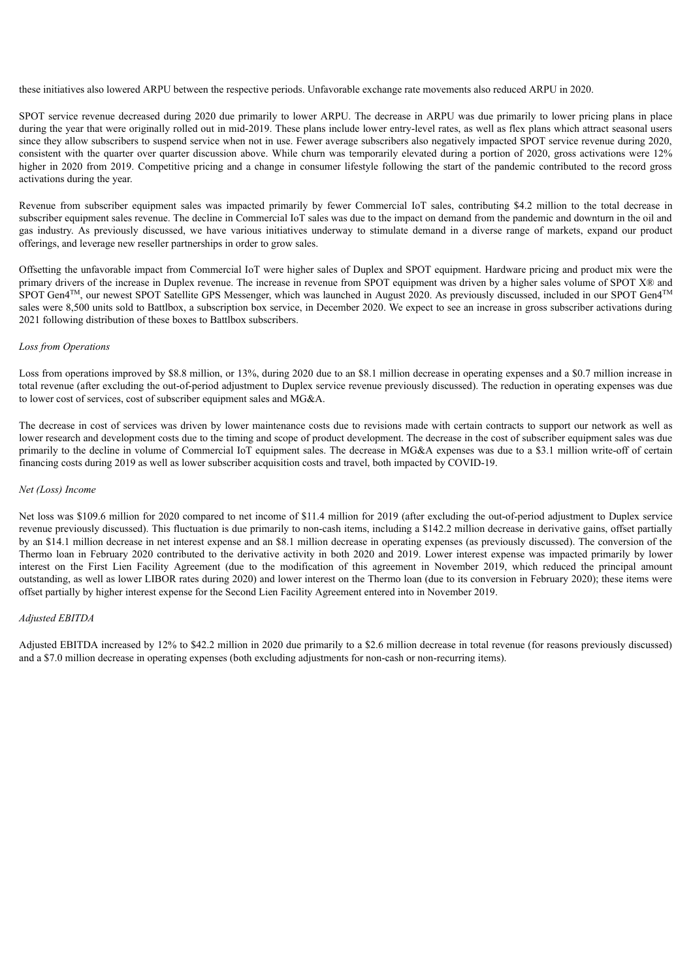these initiatives also lowered ARPU between the respective periods. Unfavorable exchange rate movements also reduced ARPU in 2020.

SPOT service revenue decreased during 2020 due primarily to lower ARPU. The decrease in ARPU was due primarily to lower pricing plans in place during the year that were originally rolled out in mid-2019. These plans include lower entry-level rates, as well as flex plans which attract seasonal users since they allow subscribers to suspend service when not in use. Fewer average subscribers also negatively impacted SPOT service revenue during 2020, consistent with the quarter over quarter discussion above. While churn was temporarily elevated during a portion of 2020, gross activations were 12% higher in 2020 from 2019. Competitive pricing and a change in consumer lifestyle following the start of the pandemic contributed to the record gross activations during the year.

Revenue from subscriber equipment sales was impacted primarily by fewer Commercial IoT sales, contributing \$4.2 million to the total decrease in subscriber equipment sales revenue. The decline in Commercial IoT sales was due to the impact on demand from the pandemic and downturn in the oil and gas industry. As previously discussed, we have various initiatives underway to stimulate demand in a diverse range of markets, expand our product offerings, and leverage new reseller partnerships in order to grow sales.

Offsetting the unfavorable impact from Commercial IoT were higher sales of Duplex and SPOT equipment. Hardware pricing and product mix were the primary drivers of the increase in Duplex revenue. The increase in revenue from SPOT equipment was driven by a higher sales volume of SPOT X® and SPOT Gen4<sup>TM</sup>, our newest SPOT Satellite GPS Messenger, which was launched in August 2020. As previously discussed, included in our SPOT Gen4<sup>TM</sup> sales were 8,500 units sold to Battlbox, a subscription box service, in December 2020. We expect to see an increase in gross subscriber activations during 2021 following distribution of these boxes to Battlbox subscribers.

#### *Loss from Operations*

Loss from operations improved by \$8.8 million, or 13%, during 2020 due to an \$8.1 million decrease in operating expenses and a \$0.7 million increase in total revenue (after excluding the out-of-period adjustment to Duplex service revenue previously discussed). The reduction in operating expenses was due to lower cost of services, cost of subscriber equipment sales and MG&A.

The decrease in cost of services was driven by lower maintenance costs due to revisions made with certain contracts to support our network as well as lower research and development costs due to the timing and scope of product development. The decrease in the cost of subscriber equipment sales was due primarily to the decline in volume of Commercial IoT equipment sales. The decrease in MG&A expenses was due to a \$3.1 million write-off of certain financing costs during 2019 as well as lower subscriber acquisition costs and travel, both impacted by COVID-19.

# *Net (Loss) Income*

Net loss was \$109.6 million for 2020 compared to net income of \$11.4 million for 2019 (after excluding the out-of-period adjustment to Duplex service revenue previously discussed). This fluctuation is due primarily to non-cash items, including a \$142.2 million decrease in derivative gains, offset partially by an \$14.1 million decrease in net interest expense and an \$8.1 million decrease in operating expenses (as previously discussed). The conversion of the Thermo loan in February 2020 contributed to the derivative activity in both 2020 and 2019. Lower interest expense was impacted primarily by lower interest on the First Lien Facility Agreement (due to the modification of this agreement in November 2019, which reduced the principal amount outstanding, as well as lower LIBOR rates during 2020) and lower interest on the Thermo loan (due to its conversion in February 2020); these items were offset partially by higher interest expense for the Second Lien Facility Agreement entered into in November 2019.

# *Adjusted EBITDA*

Adjusted EBITDA increased by 12% to \$42.2 million in 2020 due primarily to a \$2.6 million decrease in total revenue (for reasons previously discussed) and a \$7.0 million decrease in operating expenses (both excluding adjustments for non-cash or non-recurring items).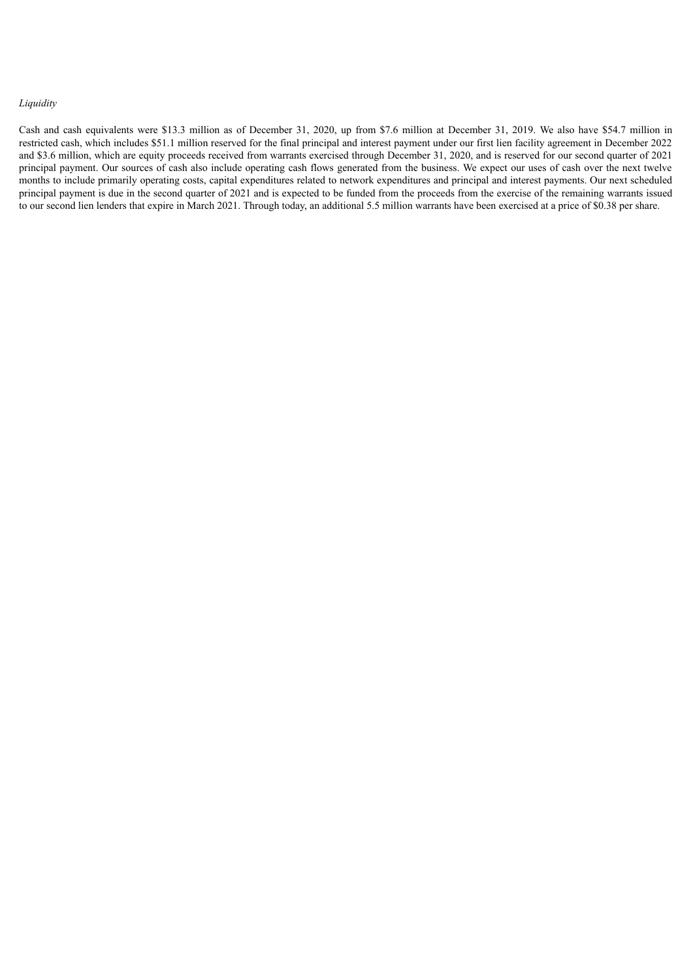# *Liquidity*

Cash and cash equivalents were \$13.3 million as of December 31, 2020, up from \$7.6 million at December 31, 2019. We also have \$54.7 million in restricted cash, which includes \$51.1 million reserved for the final principal and interest payment under our first lien facility agreement in December 2022 and \$3.6 million, which are equity proceeds received from warrants exercised through December 31, 2020, and is reserved for our second quarter of 2021 principal payment. Our sources of cash also include operating cash flows generated from the business. We expect our uses of cash over the next twelve months to include primarily operating costs, capital expenditures related to network expenditures and principal and interest payments. Our next scheduled principal payment is due in the second quarter of 2021 and is expected to be funded from the proceeds from the exercise of the remaining warrants issued to our second lien lenders that expire in March 2021. Through today, an additional 5.5 million warrants have been exercised at a price of \$0.38 per share.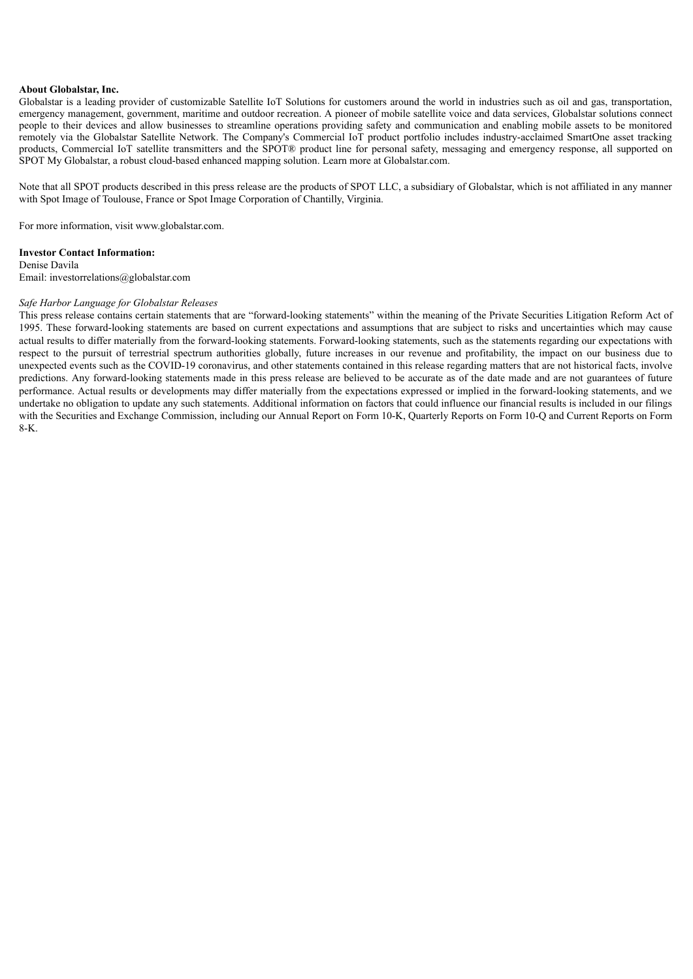#### **About Globalstar, Inc.**

Globalstar is a leading provider of customizable Satellite IoT Solutions for customers around the world in industries such as oil and gas, transportation, emergency management, government, maritime and outdoor recreation. A pioneer of mobile satellite voice and data services, Globalstar solutions connect people to their devices and allow businesses to streamline operations providing safety and communication and enabling mobile assets to be monitored remotely via the Globalstar Satellite Network. The Company's Commercial IoT product portfolio includes industry-acclaimed SmartOne asset tracking products, Commercial IoT satellite transmitters and the SPOT® product line for personal safety, messaging and emergency response, all supported on SPOT My Globalstar, a robust cloud-based enhanced mapping solution. Learn more at Globalstar.com.

Note that all SPOT products described in this press release are the products of SPOT LLC, a subsidiary of Globalstar, which is not affiliated in any manner with Spot Image of Toulouse, France or Spot Image Corporation of Chantilly, Virginia.

For more information, visit www.globalstar.com.

# **Investor Contact Information:**

Denise Davila Email: investorrelations@globalstar.com

# *Safe Harbor Language for Globalstar Releases*

This press release contains certain statements that are "forward-looking statements" within the meaning of the Private Securities Litigation Reform Act of 1995. These forward-looking statements are based on current expectations and assumptions that are subject to risks and uncertainties which may cause actual results to differ materially from the forward-looking statements. Forward-looking statements, such as the statements regarding our expectations with respect to the pursuit of terrestrial spectrum authorities globally, future increases in our revenue and profitability, the impact on our business due to unexpected events such as the COVID-19 coronavirus, and other statements contained in this release regarding matters that are not historical facts, involve predictions. Any forward-looking statements made in this press release are believed to be accurate as of the date made and are not guarantees of future performance. Actual results or developments may differ materially from the expectations expressed or implied in the forward-looking statements, and we undertake no obligation to update any such statements. Additional information on factors that could influence our financial results is included in our filings with the Securities and Exchange Commission, including our Annual Report on Form 10-K, Quarterly Reports on Form 10-Q and Current Reports on Form 8-K.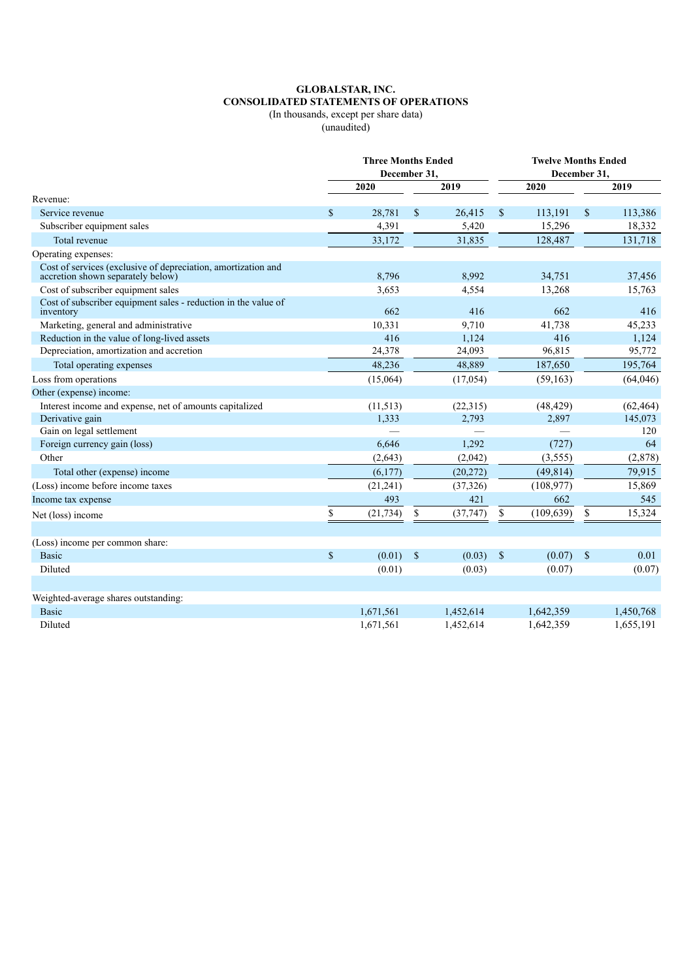# **GLOBALSTAR, INC. CONSOLIDATED STATEMENTS OF OPERATIONS**

(In thousands, except per share data)

(unaudited)

|                                                                                                    | <b>Three Months Ended</b><br>December 31, |           |               | <b>Twelve Months Ended</b><br>December 31, |                           |            |               |           |
|----------------------------------------------------------------------------------------------------|-------------------------------------------|-----------|---------------|--------------------------------------------|---------------------------|------------|---------------|-----------|
|                                                                                                    |                                           | 2020      |               | 2019                                       |                           | 2020       |               | 2019      |
| Revenue:                                                                                           |                                           |           |               |                                            |                           |            |               |           |
| Service revenue                                                                                    | $\mathbf S$                               | 28,781    | $\mathbb{S}$  | 26,415                                     | \$                        | 113,191    | $\mathcal{S}$ | 113,386   |
| Subscriber equipment sales                                                                         |                                           | 4,391     |               | 5,420                                      |                           | 15,296     |               | 18,332    |
| Total revenue                                                                                      |                                           | 33,172    |               | 31,835                                     |                           | 128,487    |               | 131,718   |
| Operating expenses:                                                                                |                                           |           |               |                                            |                           |            |               |           |
| Cost of services (exclusive of depreciation, amortization and<br>accretion shown separately below) |                                           | 8,796     |               | 8,992                                      |                           | 34,751     |               | 37,456    |
| Cost of subscriber equipment sales                                                                 |                                           | 3,653     |               | 4,554                                      |                           | 13,268     |               | 15,763    |
| Cost of subscriber equipment sales - reduction in the value of<br>inventory                        |                                           | 662       |               | 416                                        |                           | 662        |               | 416       |
| Marketing, general and administrative                                                              |                                           | 10,331    |               | 9,710                                      |                           | 41,738     |               | 45,233    |
| Reduction in the value of long-lived assets                                                        |                                           | 416       |               | 1,124                                      |                           | 416        |               | 1,124     |
| Depreciation, amortization and accretion                                                           |                                           | 24,378    |               | 24,093                                     |                           | 96,815     |               | 95,772    |
| Total operating expenses                                                                           |                                           | 48,236    |               | 48,889                                     |                           | 187,650    |               | 195,764   |
| Loss from operations                                                                               |                                           | (15,064)  |               | (17,054)                                   |                           | (59, 163)  |               | (64,046)  |
| Other (expense) income:                                                                            |                                           |           |               |                                            |                           |            |               |           |
| Interest income and expense, net of amounts capitalized                                            |                                           | (11, 513) |               | (22,315)                                   |                           | (48, 429)  |               | (62, 464) |
| Derivative gain                                                                                    |                                           | 1,333     |               | 2,793                                      |                           | 2,897      |               | 145,073   |
| Gain on legal settlement                                                                           |                                           |           |               |                                            |                           |            |               | 120       |
| Foreign currency gain (loss)                                                                       |                                           | 6,646     |               | 1,292                                      |                           | (727)      |               | 64        |
| Other                                                                                              |                                           | (2,643)   |               | (2,042)                                    |                           | (3,555)    |               | (2,878)   |
| Total other (expense) income                                                                       |                                           | (6,177)   |               | (20, 272)                                  |                           | (49, 814)  |               | 79,915    |
| (Loss) income before income taxes                                                                  |                                           | (21, 241) |               | (37, 326)                                  |                           | (108, 977) |               | 15,869    |
| Income tax expense                                                                                 |                                           | 493       |               | 421                                        |                           | 662        |               | 545       |
| Net (loss) income                                                                                  | \$                                        | (21, 734) | S             | (37,747)                                   | \$                        | (109, 639) | \$            | 15,324    |
|                                                                                                    |                                           |           |               |                                            |                           |            |               |           |
| (Loss) income per common share:                                                                    |                                           |           |               |                                            |                           |            |               |           |
| <b>Basic</b>                                                                                       | $\mathbf S$                               | (0.01)    | $\mathcal{S}$ | (0.03)                                     | $\boldsymbol{\mathsf{S}}$ | (0.07)     | \$            | 0.01      |
| Diluted                                                                                            |                                           | (0.01)    |               | (0.03)                                     |                           | (0.07)     |               | (0.07)    |
|                                                                                                    |                                           |           |               |                                            |                           |            |               |           |
| Weighted-average shares outstanding:                                                               |                                           |           |               |                                            |                           |            |               |           |
| <b>Basic</b>                                                                                       |                                           | 1,671,561 |               | 1,452,614                                  |                           | 1,642,359  |               | 1,450,768 |
| Diluted                                                                                            |                                           | 1,671,561 |               | 1,452,614                                  |                           | 1,642,359  |               | 1,655,191 |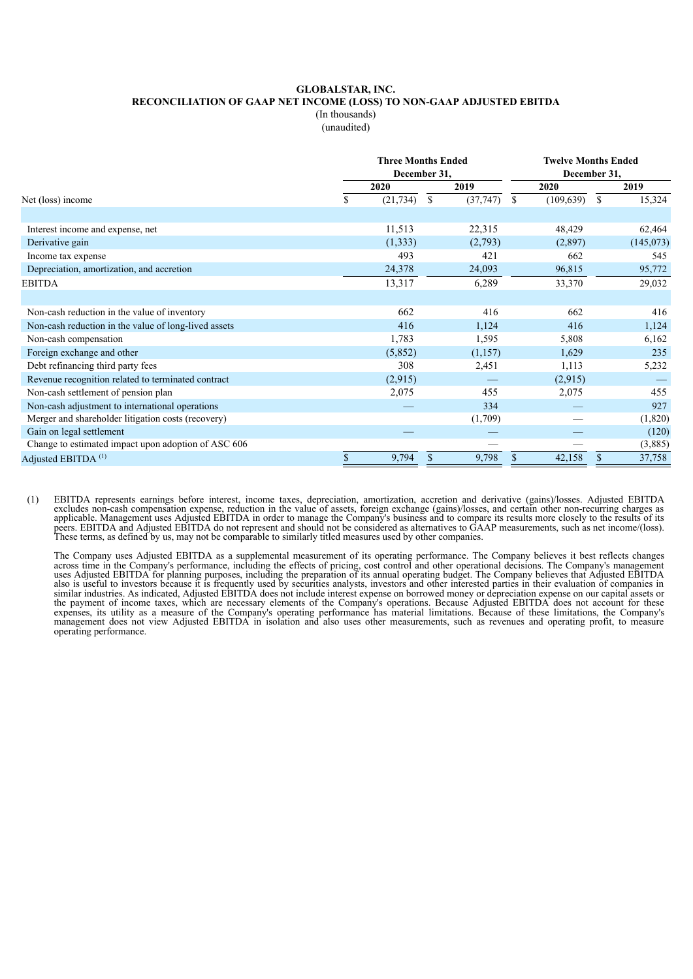### **GLOBALSTAR, INC. RECONCILIATION OF GAAP NET INCOME (LOSS) TO NON-GAAP ADJUSTED EBITDA** (In thousands) (unaudited)

|                                                      |    | <b>Three Months Ended</b><br>December 31, |                |         | <b>Twelve Months Ended</b><br>December 31, |            |               |           |  |
|------------------------------------------------------|----|-------------------------------------------|----------------|---------|--------------------------------------------|------------|---------------|-----------|--|
|                                                      |    | 2020                                      | 2019           |         |                                            | 2020       |               | 2019      |  |
| Net (loss) income                                    | S  | (21, 734)                                 | (37, 747)<br>S |         | <sup>\$</sup>                              | (109, 639) | <sup>\$</sup> | 15,324    |  |
|                                                      |    |                                           |                |         |                                            |            |               |           |  |
| Interest income and expense, net                     |    | 11,513                                    | 22,315         |         |                                            | 48,429     |               | 62,464    |  |
| Derivative gain                                      |    | (1,333)                                   | (2,793)        |         |                                            | (2,897)    |               | (145,073) |  |
| Income tax expense                                   |    | 493                                       |                | 421     |                                            | 662        |               | 545       |  |
| Depreciation, amortization, and accretion            |    | 24,378                                    | 24,093         |         |                                            | 96,815     |               | 95,772    |  |
| <b>EBITDA</b>                                        |    | 13,317                                    | 6,289          |         |                                            | 33,370     |               | 29,032    |  |
|                                                      |    |                                           |                |         |                                            |            |               |           |  |
| Non-cash reduction in the value of inventory         |    | 662                                       |                | 416     |                                            | 662        |               | 416       |  |
| Non-cash reduction in the value of long-lived assets |    | 416                                       |                | 1,124   |                                            | 416        |               | 1,124     |  |
| Non-cash compensation                                |    | 1,783                                     |                | 1,595   |                                            | 5,808      |               | 6,162     |  |
| Foreign exchange and other                           |    | (5,852)                                   |                | (1,157) |                                            | 1,629      |               | 235       |  |
| Debt refinancing third party fees                    |    | 308                                       |                | 2,451   |                                            | 1,113      |               | 5,232     |  |
| Revenue recognition related to terminated contract   |    | (2,915)                                   |                |         |                                            | (2,915)    |               |           |  |
| Non-cash settlement of pension plan                  |    | 2,075                                     |                | 455     |                                            | 2,075      |               | 455       |  |
| Non-cash adjustment to international operations      |    |                                           |                | 334     |                                            |            |               | 927       |  |
| Merger and shareholder litigation costs (recovery)   |    |                                           | (1,709)        |         |                                            |            |               | (1,820)   |  |
| Gain on legal settlement                             |    |                                           |                |         |                                            |            |               | (120)     |  |
| Change to estimated impact upon adoption of ASC 606  |    |                                           |                |         |                                            |            |               | (3,885)   |  |
| Adjusted EBITDA <sup>(1)</sup>                       | \$ | 9,794                                     | \$             | 9,798   | $\mathbb{S}$                               | 42,158     | \$            | 37,758    |  |

(1) EBITDA represents earnings before interest, income taxes, depreciation, amortization, accretion and derivative (gains)/losses. Adjusted EBITDA excludes non-cash compensation expense, reduction in the value of assets, foreign exchange (gains)/losses, and certain other non-recurring charges as applicable. Management uses Adjusted EBITDA in order to manage the Company's business and to compare its results more closely to the results of its peers. EBITDA and Adjusted EBITDA do not represent and should not be considered as alternatives to GAAP measurements, such as net income/(loss). These terms, as defined by us, may not be comparable to similarly titled measures used by other companies.

The Company uses Adjusted EBITDA as a supplemental measurement of its operating performance. The Company believes it best reflects changes across time in the Company's performance, including the effects of pricing, cost control and other operational decisions. The Company's management uses Adjusted EBITDA for planning purposes, including the preparation of its annual operating budget. The Company believes that Adjusted EBITDA also is useful to investors because it is frequently used by securities analysts, investors and other interested parties in their evaluation of companies in similar industries. As indicated, Adjusted EBITDA does not include interest expense on borrowed money or depreciation expense on our capital assets or the payment of income taxes, which are necessary elements of the Company's operations. Because Adjusted EBITDA does not account for these expenses, its utility as a measure of the Company's operating performance has material limitations. Because of these limitations, the Company's management does not view Adjusted EBITDA in isolation and also uses other measurements, such as revenues and operating profit, to measure operating performance.